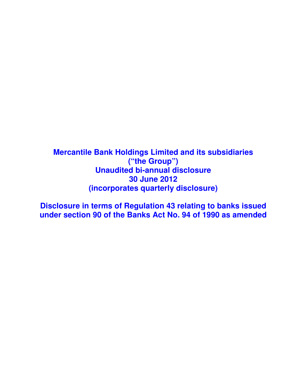**Mercantile Bank Holdings Limited and its subsidiaries ("the Group") Unaudited bi-annual disclosure 30 June 2012 (incorporates quarterly disclosure)** 

**Disclosure in terms of Regulation 43 relating to banks issued under section 90 of the Banks Act No. 94 of 1990 as amended**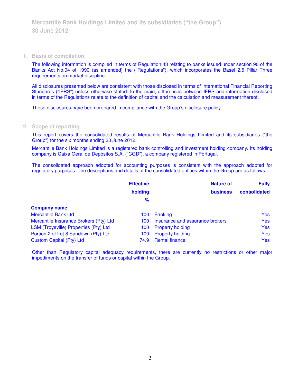### **1. Basis of compilation**

The following information is compiled in terms of Regulation 43 relating to banks issued under section 90 of the Banks Act No.94 of 1990 (as amended) the ("Regulations"), which incorporates the Basel 2.5 Pillar Three requirements on market discipline.

All disclosures presented below are consistent with those disclosed in terms of International Financial Reporting Standards ("IFRS") unless otherwise stated. In the main, differences between IFRS and information disclosed in terms of the Regulations relate to the definition of capital and the calculation and measurement thereof.

These disclosures have been prepared in compliance with the Group's disclosure policy.

### **2. Scope of reporting**

This report covers the consolidated results of Mercantile Bank Holdings Limited and its subsidiaries ("the Group") for the six months ending 30 June 2012.

Mercantile Bank Holdings Limited is a registered bank controlling and investment holding company. Its holding company is Caixa Geral de Depósitos S.A. ("CGD"), a company registered in Portugal.

The consolidated approach adopted for accounting purposes is consistent with the approach adopted for regulatory purposes. The descriptions and details of the consolidated entities within the Group are as follows:

|                                        | <b>Effective</b> | <b>Nature of</b>                | <b>Fully</b> |
|----------------------------------------|------------------|---------------------------------|--------------|
|                                        | holding          | <b>business</b>                 | consolidated |
|                                        | $\frac{9}{6}$    |                                 |              |
| <b>Company name</b>                    |                  |                                 |              |
| <b>Mercantile Bank Ltd</b>             | 100              | <b>Banking</b>                  | <b>Yes</b>   |
| Mercantile Insurance Brokers (Pty) Ltd | 100              | Insurance and assurance brokers | <b>Yes</b>   |
| LSM (Troyeville) Properties (Pty) Ltd  | 100              | <b>Property holding</b>         | <b>Yes</b>   |
| Portion 2 of Lot 8 Sandown (Pty) Ltd   | 100              | <b>Property holding</b>         | <b>Yes</b>   |
| <b>Custom Capital (Pty) Ltd</b>        | 74.9             | <b>Rental finance</b>           | <b>Yes</b>   |

Other than Regulatory capital adequacy requirements, there are currently no restrictions or other major impediments on the transfer of funds or capital within the Group.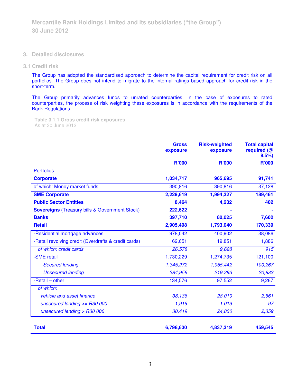- **3. Detailed disclosures**
- **3.1 Credit risk**

The Group has adopted the standardised approach to determine the capital requirement for credit risk on all portfolios. The Group does not intend to migrate to the internal ratings based approach for credit risk in the short-term.

The Group primarily advances funds to unrated counterparties. In the case of exposures to rated counterparties, the process of risk weighting these exposures is in accordance with the requirements of the Bank Regulations.

**Table 3.1.1 Gross credit risk exposures**  As at 30 June 2012

|                                                       | <b>Gross</b><br>exposure | <b>Risk-weighted</b><br>exposure | <b>Total capital</b><br>required (@<br>9.5% |
|-------------------------------------------------------|--------------------------|----------------------------------|---------------------------------------------|
|                                                       | <b>R'000</b>             | <b>R'000</b>                     | <b>R'000</b>                                |
| <b>Portfolios</b>                                     |                          |                                  |                                             |
| <b>Corporate</b>                                      | 1,034,717                | 965,695                          | 91,741                                      |
| of which: Money market funds                          | 390,816                  | 390,816                          | 37,128                                      |
| <b>SME Corporate</b>                                  | 2,229,619                | 1,994,327                        | 189,461                                     |
| <b>Public Sector Entities</b>                         | 8,464                    | 4,232                            | 402                                         |
| <b>Sovereigns</b> (Treasury bills & Government Stock) | 222,622                  |                                  |                                             |
| <b>Banks</b>                                          | 397,710                  | 80,025                           | 7,602                                       |
| <b>Retail</b>                                         | 2,905,498                | 1,793,040                        | 170,339                                     |
| -Residential mortgage advances                        | 978,042                  | 400,902                          | 38,086                                      |
| -Retail revolving credit (Overdrafts & credit cards)  | 62,651                   | 19,851                           | 1,886                                       |
| of which: credit cards                                | 26,578                   | 9,628                            | 915                                         |
| -SME retail                                           | 1,730,229                | 1,274,735                        | 121,100                                     |
| <b>Secured lending</b>                                | 1,345,272                | 1,055,442                        | 100,267                                     |
| <b>Unsecured lending</b>                              | 384,956                  | 219,293                          | 20,833                                      |
| -Retail - other                                       | 134,576                  | 97,552                           | 9,267                                       |
| of which:                                             |                          |                                  |                                             |
| vehicle and asset finance                             | 38,136                   | 28,010                           | 2,661                                       |
| unsecured lending $\epsilon$ = R30 000                | 1,919                    | 1,019                            | 97                                          |
| unsecured lending $>$ R30 000                         | 30,419                   | 24,830                           | 2,359                                       |
| <b>Total</b>                                          | 6,798,630                | 4,837,319                        | 459,545                                     |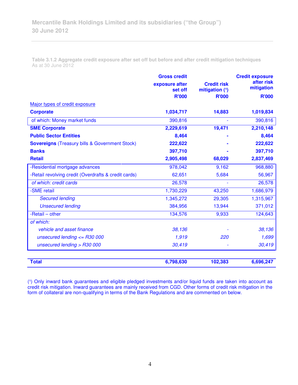**Table 3.1.2 Aggregate credit exposure after set off but before and after credit mitigation techniques**  As at 30 June 2012

|                                                       | <b>Gross credit</b><br>exposure after<br>set off<br><b>R'000</b> | <b>Credit risk</b><br>mitigation (1)<br><b>R'000</b> | <b>Credit exposure</b><br>after risk<br>mitigation<br><b>R'000</b> |
|-------------------------------------------------------|------------------------------------------------------------------|------------------------------------------------------|--------------------------------------------------------------------|
| Major types of credit exposure                        |                                                                  |                                                      |                                                                    |
| <b>Corporate</b>                                      | 1,034,717                                                        | 14,883                                               | 1,019,834                                                          |
| of which: Money market funds                          | 390,816                                                          |                                                      | 390,816                                                            |
| <b>SME Corporate</b>                                  | 2,229,619                                                        | 19,471                                               | 2,210,148                                                          |
| <b>Public Sector Entities</b>                         | 8,464                                                            |                                                      | 8,464                                                              |
| <b>Sovereigns</b> (Treasury bills & Government Stock) | 222,622                                                          |                                                      | 222,622                                                            |
| <b>Banks</b>                                          | 397,710                                                          |                                                      | 397,710                                                            |
| <b>Retail</b>                                         | 2,905,498                                                        | 68,029                                               | 2,837,469                                                          |
| -Residential mortgage advances                        | 978,042                                                          | 9,162                                                | 968,880                                                            |
| -Retail revolving credit (Overdrafts & credit cards)  | 62,651                                                           | 5,684                                                | 56,967                                                             |
| of which: credit cards                                | 26,578                                                           |                                                      | 26,578                                                             |
| -SME retail                                           | 1,730,229                                                        | 43,250                                               | 1,686,979                                                          |
| <b>Secured lending</b>                                | 1,345,272                                                        | 29,305                                               | 1,315,967                                                          |
| <b>Unsecured lending</b>                              | 384,956                                                          | 13,944                                               | 371,012                                                            |
| $-$ Retail $-$ other                                  | 134,576                                                          | 9,933                                                | 124,643                                                            |
| of which:                                             |                                                                  |                                                      |                                                                    |
| vehicle and asset finance                             | 38,136                                                           |                                                      | 38,136                                                             |
| unsecured lending $<=$ R30 000                        | 1,919                                                            | 220                                                  | 1,699                                                              |
| unsecured lending > R30 000                           | 30,419                                                           |                                                      | 30,419                                                             |
| <b>Total</b>                                          | 6,798,630                                                        | 102,383                                              | 6,696,247                                                          |

(1) Only inward bank guarantees and eligible pledged investments and/or liquid funds are taken into account as credit risk mitigation. Inward guarantees are mainly received from CGD. Other forms of credit risk mitigation in the form of collateral are non-qualifying in terms of the Bank Regulations and are commented on below.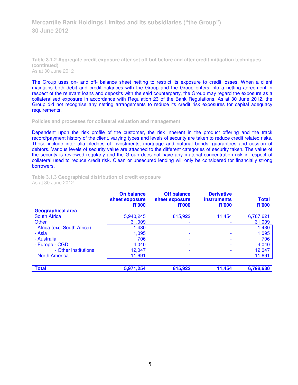**Table 3.1.2 Aggregate credit exposure after set off but before and after credit mitigation techniques (continued)**  As at 30 June 2012

The Group uses on- and off- balance sheet netting to restrict its exposure to credit losses. When a client maintains both debit and credit balances with the Group and the Group enters into a netting agreement in respect of the relevant loans and deposits with the said counterparty, the Group may regard the exposure as a collateralised exposure in accordance with Regulation 23 of the Bank Regulations. As at 30 June 2012, the Group did not recognise any netting arrangements to reduce its credit risk exposures for capital adequacy requirements.

**Policies and processes for collateral valuation and management** 

Dependent upon the risk profile of the customer, the risk inherent in the product offering and the track record/payment history of the client, varying types and levels of security are taken to reduce credit related risks. These include inter alia pledges of investments, mortgage and notarial bonds, guarantees and cession of debtors. Various levels of security value are attached to the different categories of security taken. The value of the security is reviewed regularly and the Group does not have any material concentration risk in respect of collateral used to reduce credit risk. Clean or unsecured lending will only be considered for financially strong borrowers.

**Table 3.1.3 Geographical distribution of credit exposure**  As at 30 June 2012

|                              | On balance<br>sheet exposure<br><b>R'000</b> | <b>Off balance</b><br>sheet exposure<br><b>R'000</b> | <b>Derivative</b><br><b>instruments</b><br><b>R'000</b> | <b>Total</b><br><b>R'000</b> |
|------------------------------|----------------------------------------------|------------------------------------------------------|---------------------------------------------------------|------------------------------|
| <b>Geographical area</b>     |                                              |                                                      |                                                         |                              |
| <b>South Africa</b>          | 5,940,245                                    | 815,922                                              | 11,454                                                  | 6,767,621                    |
| Other                        | 31,009                                       |                                                      |                                                         | 31,009                       |
| - Africa (excl South Africa) | 1.430                                        |                                                      |                                                         | 1,430                        |
| - Asia                       | 1,095                                        |                                                      |                                                         | 1,095                        |
| - Australia                  | 706                                          |                                                      |                                                         | 706                          |
| - Europe - CGD               | 4,040                                        |                                                      |                                                         | 4,040                        |
| - Other institutions         | 12,047                                       |                                                      |                                                         | 12,047                       |
| - North America              | 11,691                                       |                                                      |                                                         | 11,691                       |
| <b>Total</b>                 | 5,971,254                                    | 815,922                                              | 11,454                                                  | 6,798,630                    |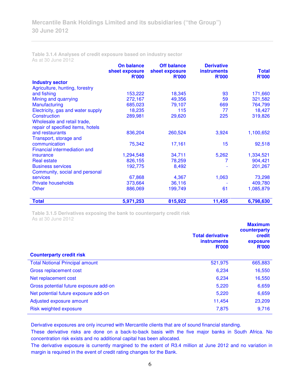|                                     | <b>On balance</b><br>sheet exposure | <b>Off balance</b><br>sheet exposure | <b>Derivative</b><br><b>instruments</b> | <b>Total</b> |
|-------------------------------------|-------------------------------------|--------------------------------------|-----------------------------------------|--------------|
|                                     | <b>R'000</b>                        | <b>R'000</b>                         | <b>R'000</b>                            | <b>R'000</b> |
| <b>Industry sector</b>              |                                     |                                      |                                         |              |
| Agriculture, hunting, forestry      |                                     |                                      |                                         |              |
| and fishing                         | 153,222                             | 18,345                               | 93                                      | 171,660      |
| Mining and quarrying                | 272,167                             | 49,356                               | 59                                      | 321,582      |
| Manufacturing                       | 685,023                             | 79,107                               | 669                                     | 764,799      |
| Electricity, gas and water supply   | 18,235                              | 115                                  | 77                                      | 18,427       |
| Construction                        | 289,981                             | 29,620                               | 225                                     | 319,826      |
| Wholesale and retail trade,         |                                     |                                      |                                         |              |
| repair of specified items, hotels   |                                     |                                      |                                         |              |
| and restaurants                     | 836,204                             | 260,524                              | 3,924                                   | 1,100,652    |
| Transport, storage and              |                                     |                                      |                                         |              |
| communication                       | 75,342                              | 17,161                               | 15                                      | 92,518       |
| <b>Financial intermediation and</b> |                                     |                                      |                                         |              |
| insurance                           | 1,294,548                           | 34,711                               | 5,262                                   | 1,334,521    |
| <b>Real estate</b>                  | 826,155                             | 78,259                               |                                         | 904,421      |
| <b>Business services</b>            | 192,775                             | 8,492                                |                                         | 201,267      |
| Community, social and personal      |                                     |                                      |                                         |              |
| <b>services</b>                     | 67,868                              | 4,367                                | 1,063                                   | 73,298       |
| <b>Private households</b>           | 373,664                             | 36,116                               |                                         | 409,780      |
| <b>Other</b>                        | 886,069                             | 199,749                              | 61                                      | 1,085,879    |
| <b>Total</b>                        | 5,971,253                           | 815,922                              | 11,455                                  | 6,798,630    |

**Table 3.1.4 Analyses of credit exposure based on industry sector**  As at 30 June 2012

**Table 3.1.5 Derivatives exposing the bank to counterparty credit risk**  As at 30 June 2012

|                                        | <b>Total derivative</b><br><b>instruments</b><br><b>R'000</b> | <b>Maximum</b><br>counterparty<br>credit<br>exposure<br><b>R'000</b> |
|----------------------------------------|---------------------------------------------------------------|----------------------------------------------------------------------|
| <b>Counterparty credit risk</b>        |                                                               |                                                                      |
| <b>Total Notional Principal amount</b> | 521,975                                                       | 665,883                                                              |
| Gross replacement cost                 | 6,234                                                         | 16,550                                                               |
| Net replacement cost                   | 6,234                                                         | 16,550                                                               |
| Gross potential future exposure add-on | 5,220                                                         | 6,659                                                                |
| Net potential future exposure add-on   | 5,220                                                         | 6,659                                                                |
| Adjusted exposure amount               | 11,454                                                        | 23,209                                                               |
| Risk weighted exposure                 | 7,875                                                         | 9,716                                                                |

Derivative exposures are only incurred with Mercantile clients that are of sound financial standing.

These derivative risks are done on a back-to-back basis with the five major banks in South Africa. No concentration risk exists and no additional capital has been allocated.

The derivative exposure is currently margined to the extent of R3.4 million at June 2012 and no variation in margin is required in the event of credit rating changes for the Bank.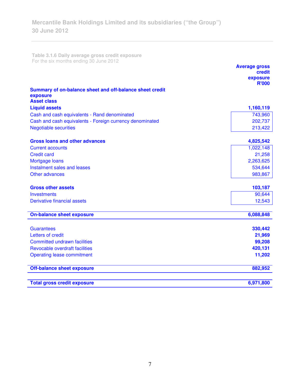**Table 3.1.6 Daily average gross credit exposure**  For the six months ending 30 June 2012

|                                                                      | <b>Average gross</b><br>credit<br>exposure |
|----------------------------------------------------------------------|--------------------------------------------|
|                                                                      | <b>R'000</b>                               |
| Summary of on-balance sheet and off-balance sheet credit<br>exposure |                                            |
| <b>Asset class</b>                                                   |                                            |
| <b>Liquid assets</b>                                                 | 1,160,119                                  |
| Cash and cash equivalents - Rand denominated                         | 743,960                                    |
| Cash and cash equivalents - Foreign currency denominated             | 202,737                                    |
| <b>Negotiable securities</b>                                         | 213,422                                    |
| <b>Gross loans and other advances</b>                                | 4,825,542                                  |
| <b>Current accounts</b>                                              | 1,022,148                                  |
| <b>Credit card</b>                                                   | 21,258                                     |
| Mortgage loans                                                       | 2,263,625                                  |
| Instalment sales and leases                                          | 534,644                                    |
| Other advances                                                       | 983,867                                    |
| <b>Gross other assets</b>                                            | 103,187                                    |
| <b>Investments</b>                                                   | 90,644                                     |
| Derivative financial assets                                          | 12,543                                     |
| <b>On-balance sheet exposure</b>                                     | 6,088,848                                  |
|                                                                      |                                            |
| <b>Guarantees</b>                                                    | 330,442                                    |
| Letters of credit                                                    | 21,969                                     |
| <b>Committed undrawn facilities</b>                                  | 99,208                                     |
| Revocable overdraft facilities                                       | 420,131                                    |
| <b>Operating lease commitment</b>                                    | 11,202                                     |
| <b>Off-balance sheet exposure</b>                                    | 882,952                                    |
| <b>Total gross credit exposure</b>                                   | 6,971,800                                  |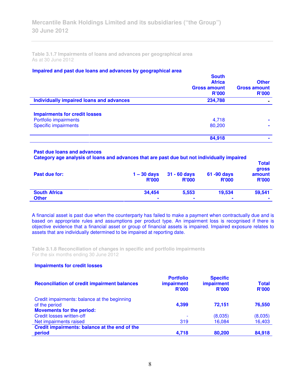**Table 3.1.7 Impairments of loans and advances per geographical area**  As at 30 June 2012

### **Impaired and past due loans and advances by geographical area**

|                                                 | <b>South</b><br><b>Africa</b><br><b>Gross amount</b><br><b>R'000</b> | <b>Other</b><br><b>Gross amount</b><br>R'000 |
|-------------------------------------------------|----------------------------------------------------------------------|----------------------------------------------|
| <b>Individually impaired loans and advances</b> | 234,788                                                              |                                              |
| <b>Impairments for credit losses</b>            |                                                                      |                                              |
| Portfolio impairments                           | 4,718                                                                | ۰                                            |
| <b>Specific impairments</b>                     | 80,200                                                               |                                              |
|                                                 | 84,918                                                               |                                              |
|                                                 |                                                                      |                                              |

#### **Past due loans and advances**

**Category age analysis of loans and advances that are past due but not individually impaired** 

| Past due for:       | $1 - 30$ days<br><b>R'000</b> | $31 - 60$ days<br><b>R'000</b> | 61 -90 days<br><b>R'000</b> | <b>Total</b><br><b>gross</b><br>amount<br><b>R'000</b> |
|---------------------|-------------------------------|--------------------------------|-----------------------------|--------------------------------------------------------|
| <b>South Africa</b> | 34.454                        | 5,553                          | 19,534                      | 59,541                                                 |
| <b>Other</b>        | $\mathbf{r}$                  | $\blacksquare$                 | $\blacksquare$              | $\blacksquare$                                         |

A financial asset is past due when the counterparty has failed to make a payment when contractually due and is based on appropriate rules and assumptions per product type. An impairment loss is recognised if there is objective evidence that a financial asset or group of financial assets is impaired. Impaired exposure relates to assets that are individually determined to be impaired at reporting date.

**Table 3.1.8 Reconciliation of changes in specific and portfolio impairments**  For the six months ending 30 June 2012

## **Impairments for credit losses**

| <b>Reconciliation of credit impairment balances</b>           | <b>Portfolio</b><br><b>impairment</b><br><b>R'000</b> | <b>Specific</b><br><b>impairment</b><br><b>R'000</b> | <b>Total</b><br><b>R'000</b> |
|---------------------------------------------------------------|-------------------------------------------------------|------------------------------------------------------|------------------------------|
| Credit impairments: balance at the beginning<br>of the period | 4,399                                                 | 72,151                                               | 76,550                       |
| <b>Movements for the period:</b>                              |                                                       |                                                      |                              |
| <b>Credit losses written-off</b>                              | $\overline{\phantom{a}}$                              | (8,035)                                              | (8,035)                      |
| Net impairments raised                                        | 319                                                   | 16,084                                               | 16,403                       |
| Credit impairments: balance at the end of the                 |                                                       |                                                      |                              |
| period                                                        | 4.718                                                 | 80,200                                               | 84,918                       |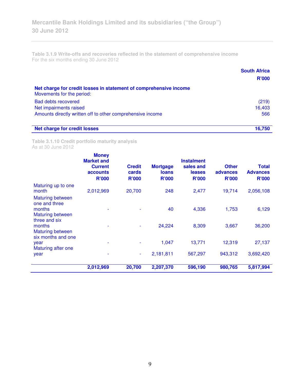**Table 3.1.9 Write-offs and recoveries reflected in the statement of comprehensive income**  For the six months ending 30 June 2012

|                                                                                                | <b>South Africa</b> |
|------------------------------------------------------------------------------------------------|---------------------|
|                                                                                                | <b>R'000</b>        |
| Net charge for credit losses in statement of comprehensive income<br>Movements for the period: |                     |
| <b>Bad debts recovered</b>                                                                     | (219)               |
| Net impairments raised                                                                         | 16,403              |
| Amounts directly written off to other comprehensive income                                     | 566                 |
| <b>Net charge for credit losses</b>                                                            | 16,750              |

**Table 3.1.10 Credit portfolio maturity analysis**  As at 30 June 2012

|                                                                               | <b>Money</b><br><b>Market and</b><br><b>Current</b><br>accounts<br><b>R'000</b> | <b>Credit</b><br>cards<br><b>R'000</b> | <b>Mortgage</b><br><b>loans</b><br><b>R'000</b> | <b>Instalment</b><br>sales and<br><b>leases</b><br><b>R'000</b> | <b>Other</b><br>advances<br><b>R'000</b> | <b>Total</b><br><b>Advances</b><br><b>R'000</b> |
|-------------------------------------------------------------------------------|---------------------------------------------------------------------------------|----------------------------------------|-------------------------------------------------|-----------------------------------------------------------------|------------------------------------------|-------------------------------------------------|
| Maturing up to one<br>month                                                   | 2,012,969                                                                       | 20,700                                 | 248                                             | 2,477                                                           | 19,714                                   | 2,056,108                                       |
| <b>Maturing between</b><br>one and three<br>months<br><b>Maturing between</b> |                                                                                 |                                        | 40                                              | 4,336                                                           | 1,753                                    | 6,129                                           |
| three and six<br>months<br><b>Maturing between</b><br>six months and one      |                                                                                 |                                        | 24,224                                          | 8,309                                                           | 3,667                                    | 36,200                                          |
| year<br><b>Maturing after one</b>                                             |                                                                                 |                                        | 1,047                                           | 13,771                                                          | 12,319                                   | 27,137                                          |
| year                                                                          |                                                                                 | $\blacksquare$                         | 2,181,811                                       | 567,297                                                         | 943,312                                  | 3,692,420                                       |
|                                                                               | 2,012,969                                                                       | 20,700                                 | 2,207,370                                       | 596,190                                                         | 980,765                                  | 5,817,994                                       |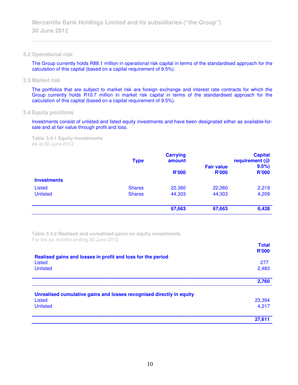## **3.2 Operational risk**

The Group currently holds R88.1 million in operational risk capital in terms of the standardised approach for the calculation of this capital (based on a capital requirement of 9.5%).

**3.3 Market risk** 

The portfolios that are subject to market risk are foreign exchange and interest rate contracts for which the Group currently holds R10.7 million in market risk capital in terms of the standardised approach for the calculation of this capital (based on a capital requirement of 9.5%).

# **3.4 Equity positions**

Investments consist of unlisted and listed equity investments and have been designated either as available-forsale and at fair value through profit and loss.

**Table 3.4.1 Equity investments**  As at 30 June 2012

|                    | <b>Type</b>   | <b>Carrying</b><br>amount<br><b>R'000</b> | <b>Fair value</b><br><b>R'000</b> | <b>Capital</b><br>requirement (@<br>9.5%<br><b>R'000</b> |
|--------------------|---------------|-------------------------------------------|-----------------------------------|----------------------------------------------------------|
| <b>Investments</b> |               |                                           |                                   |                                                          |
| <b>Listed</b>      | <b>Shares</b> | 22,360                                    | 22,360                            | 2,219                                                    |
| <b>Unlisted</b>    | <b>Shares</b> | 44,303                                    | 44,303                            | 4,209                                                    |
|                    |               | 67,663                                    | 67,663                            | 6,428                                                    |

**Table 3.4.2 Realised and unrealised gains on equity investments**  For the six months ending 30 June 2012

|                                                                      | <b>Total</b><br><b>R'000</b> |
|----------------------------------------------------------------------|------------------------------|
| Realised gains and losses in profit and loss for the period          |                              |
| Listed<br><b>Unlisted</b>                                            | 277<br>2,483                 |
|                                                                      |                              |
|                                                                      | 2,760                        |
| Unrealised cumulative gains and losses recognised directly in equity |                              |
| Listed                                                               | 23,394                       |
| <b>Unlisted</b>                                                      | 4,217                        |
|                                                                      | 27,611                       |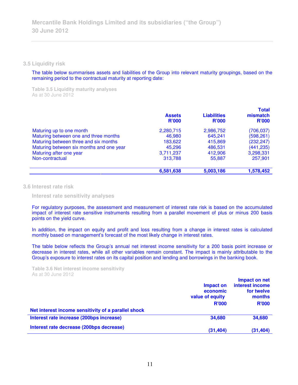**3.5 Liquidity risk** 

The table below summarises assets and liabilities of the Group into relevant maturity groupings, based on the remaining period to the contractual maturity at reporting date:

**Table 3.5 Liquidity maturity analyses**  As at 30 June 2012

|                                          | <b>Assets</b><br><b>R'000</b> | <b>Liabilities</b><br><b>R'000</b> | <b>Total</b><br>mismatch<br>R'000 |
|------------------------------------------|-------------------------------|------------------------------------|-----------------------------------|
| Maturing up to one month                 | 2,280,715                     | 2,986,752                          | (706, 037)                        |
| Maturing between one and three months    | 46,980                        | 645,241                            | (598, 261)                        |
| Maturing between three and six months    | 183,622                       | 415,869                            | (232, 247)                        |
| Maturing between six months and one year | 45.296                        | 486,531                            | (441, 235)                        |
| Maturing after one year                  | 3,711,237                     | 412,906                            | 3,298,331                         |
| Non-contractual                          | 313,788                       | 55,887                             | 257,901                           |
|                                          | 6,581,638                     | 5,003,186                          | 1,578,452                         |

**3.6 Interest rate risk** 

 **Interest rate sensitivity analyses** 

For regulatory purposes, the assessment and measurement of interest rate risk is based on the accumulated impact of interest rate sensitive instruments resulting from a parallel movement of plus or minus 200 basis points on the yield curve.

In addition, the impact on equity and profit and loss resulting from a change in interest rates is calculated monthly based on management's forecast of the most likely change in interest rates.

The table below reflects the Group's annual net interest income sensitivity for a 200 basis point increase or decrease in interest rates, while all other variables remain constant. The impact is mainly attributable to the Group's exposure to interest rates on its capital position and lending and borrowings in the banking book.

**Table 3.6 Net interest income sensitivity**  As at 30 June 2012

|                                                     | Impact on<br>economic<br>value of equity<br><b>R'000</b> | Impact on net<br>interest income<br>for twelve<br>months<br><b>R'000</b> |
|-----------------------------------------------------|----------------------------------------------------------|--------------------------------------------------------------------------|
| Net interest income sensitivity of a parallel shock |                                                          |                                                                          |
| Interest rate increase (200bps increase)            | 34,680                                                   | 34,680                                                                   |
| Interest rate decrease (200bps decrease)            | (31, 404)                                                | (31, 404)                                                                |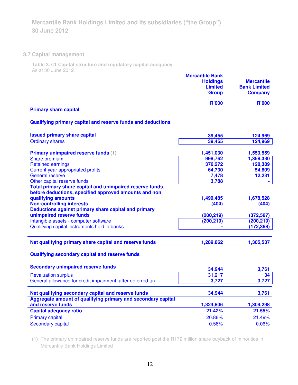# **3.7 Capital management**

**Table 3.7.1 Capital structure and regulatory capital adequacy**  As at 30 June 2012

|                              | <b>Mercantile Bank</b><br><b>Holdings</b><br><b>Limited</b><br><b>Group</b> | <b>Mercantile</b><br><b>Bank Limited</b><br><b>Company</b> |
|------------------------------|-----------------------------------------------------------------------------|------------------------------------------------------------|
| <b>Primary share capital</b> | <b>R'000</b>                                                                | <b>R'000</b>                                               |

# **Qualifying primary capital and reserve funds and deductions**

| <b>Issued primary share capital</b>                                                                                | 39,455     | 124,969    |
|--------------------------------------------------------------------------------------------------------------------|------------|------------|
| <b>Ordinary shares</b>                                                                                             | 39,455     | 124,969    |
|                                                                                                                    |            |            |
| <b>Primary unimpaired reserve funds (1)</b>                                                                        | 1,451,030  | 1,553,559  |
| Share premium                                                                                                      | 998,762    | 1,358,330  |
| <b>Retained earnings</b>                                                                                           | 376,272    | 128,389    |
| Current year appropriated profits                                                                                  | 64,730     | 54,609     |
| <b>General reserve</b>                                                                                             | 7,478      | 12,231     |
| Other capital reserve funds                                                                                        | 3,788      |            |
| Total primary share capital and unimpaired reserve funds,<br>before deductions, specified approved amounts and non |            |            |
| qualifying amounts                                                                                                 | 1,490,485  | 1,678,528  |
| <b>Non-controlling interests</b>                                                                                   | (404)      | (404)      |
| Deductions against primary share capital and primary                                                               |            |            |
| unimpaired reserve funds                                                                                           | (200, 219) | (372, 587) |
| Intangible assets - computer software                                                                              | (200, 219) | (200, 219) |
| Qualifying capital instruments held in banks                                                                       |            | (172, 368) |
|                                                                                                                    |            |            |
| Net qualifying primary share capital and reserve funds                                                             | 1,289,862  | 1,305,537  |
| Qualifying secondary capital and reserve funds                                                                     |            |            |
| <b>Secondary unimpaired reserve funds</b>                                                                          | 34,944     | 3,761      |
| <b>Revaluation surplus</b>                                                                                         | 31,217     | 34         |
| General allowance for credit impairment, after deferred tax                                                        | 3,727      | 3,727      |
|                                                                                                                    |            |            |
| Net qualifying secondary capital and reserve funds                                                                 | 34,944     | 3,761      |
| Aggregate amount of qualifying primary and secondary capital                                                       |            |            |
| and reserve funds                                                                                                  | 1,324,806  | 1,309,298  |
| <b>Capital adequacy ratio</b>                                                                                      | 21.42%     | 21.55%     |
| <b>Primary capital</b>                                                                                             | 20.86%     | 21.49%     |
| <b>Secondary capital</b>                                                                                           | 0.56%      |            |

**(1)** The primary unimpaired reserve funds are reported post the R172 million share buyback of minorities in Mercantile Bank Holdings Limited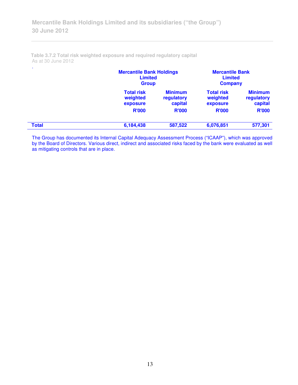|              | <b>Mercantile Bank Holdings</b><br><b>Limited</b><br><b>Group</b> |                                         | <b>Mercantile Bank</b><br><b>Limited</b><br><b>Company</b> |                                         |
|--------------|-------------------------------------------------------------------|-----------------------------------------|------------------------------------------------------------|-----------------------------------------|
|              | <b>Total risk</b><br>weighted<br>exposure                         | <b>Minimum</b><br>regulatory<br>capital | <b>Total risk</b><br>weighted<br>exposure                  | <b>Minimum</b><br>regulatory<br>capital |
|              | <b>R'000</b>                                                      | <b>R'000</b>                            | <b>R'000</b>                                               | <b>R'000</b>                            |
| <b>Total</b> | 6,184,438                                                         | 587,522                                 | 6,076,851                                                  | 577,301                                 |

**Table 3.7.2 Total risk weighted exposure and required regulatory capital**  As at 30 June 2012

The Group has documented its Internal Capital Adequacy Assessment Process ("ICAAP"), which was approved by the Board of Directors. Various direct, indirect and associated risks faced by the bank were evaluated as well as mitigating controls that are in place.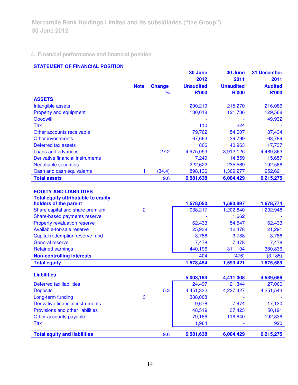# **4. Financial performance and financial position**

# **STATEMENT OF FINANCIAL POSITION**

|                                            |             |               | 30 June          | 30 June          | <b>31 December</b> |
|--------------------------------------------|-------------|---------------|------------------|------------------|--------------------|
|                                            |             |               | 2012             | 2011             | 2011               |
|                                            | <b>Note</b> | <b>Change</b> | <b>Unaudited</b> | <b>Unaudited</b> | <b>Audited</b>     |
|                                            |             | $\frac{9}{6}$ | <b>R'000</b>     | <b>R'000</b>     | <b>R'000</b>       |
| <b>ASSETS</b>                              |             |               |                  |                  |                    |
| Intangible assets                          |             |               | 200,219          | 215,270          | 216,086            |
| Property and equipment                     |             |               | 130,018          | 121,736          | 129,568            |
| Goodwill                                   |             |               |                  |                  | 49,932             |
| <b>Tax</b>                                 |             |               | 110              | 224              |                    |
| Other accounts receivable                  |             |               | 79,762           | 54,607           | 87,434             |
| <b>Other investments</b>                   |             |               | 67,663           | 39,799           | 63,789             |
| Deferred tax assets                        |             |               | 806              | 40,963           | 17,737             |
| Loans and advances                         |             | 27.2          | 4,975,053        | 3,912,125        | 4,489,863          |
| Derivative financial instruments           |             |               | 7,249            | 14,859           | 15,657             |
| <b>Negotiable securities</b>               |             |               | 222,622          | 235,569          | 192,588            |
| Cash and cash equivalents                  | 1           | (34.4)        | 898,136          | 1,369,277        | 952,621            |
| <b>Total assets</b>                        |             | 9.6           | 6,581,638        | 6,004,429        | 6,215,275          |
|                                            |             |               |                  |                  |                    |
| <b>EQUITY AND LIABILITIES</b>              |             |               |                  |                  |                    |
| <b>Total equity attributable to equity</b> |             |               |                  |                  |                    |
| holders of the parent                      |             |               | 1,578,050        | 1,593,897        | 1,678,774          |
| Share capital and share premium            | 2           |               | 1,038,217        | 1,202,840        | 1,202,948          |
| Share-based payments reserve               |             |               |                  | 1,662            |                    |
| Property revaluation reserve               |             |               | 62,433           | 54,547           | 62,433             |
| Available-for-sale reserve                 |             |               | 25,938           | 12,478           | 21,291             |
| Capital redemption reserve fund            |             |               | 3,788            | 3,788            | 3,788              |
| <b>General reserve</b>                     |             |               | 7,478            | 7,478            | 7,478              |
| <b>Retained earnings</b>                   |             |               | 440,196          | 311,104          | 380,836            |
| <b>Non-controlling interests</b>           |             |               | 404              | (476)            | (3, 185)           |
| <b>Total equity</b>                        |             |               | 1,578,454        | 1,593,421        | 1,675,589          |
|                                            |             |               |                  |                  |                    |
| <b>Liabilities</b>                         |             |               | 5,003,184        | 4,411,008        | 4,539,686          |
| Deferred tax liabilities                   |             |               | 24,497           | 21,344           | 27,066             |
| <b>Deposits</b>                            |             | 5.3           | 4,451,332        | 4,227,427        | 4,251,543          |
| Long-term funding                          | 3           |               | 388,008          |                  |                    |
| Derivative financial instruments           |             |               | 9,678            | 7,974            | 17,130             |
| Provisions and other liabilities           |             |               | 48,519           | 37,423           | 50,191             |
| Other accounts payable                     |             |               | 79,186           | 116,840          | 192,836            |
| Tax                                        |             |               | 1,964            |                  | 920                |
|                                            |             |               |                  |                  |                    |
| <b>Total equity and liabilities</b>        |             | 9.6           | 6,581,638        | 6,004,429        | 6,215,275          |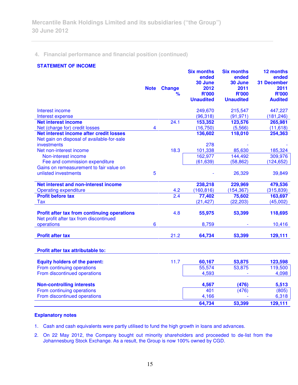# **4. Financial performance and financial position (continued)**

# **STATEMENT OF INCOME**

|                                                                                              | <b>Note</b> | <b>Change</b><br>% | <b>Six months</b><br>ended<br>30 June<br>2012<br><b>R'000</b><br><b>Unaudited</b> | <b>Six months</b><br>ended<br>30 June<br>2011<br><b>R'000</b><br><b>Unaudited</b> | 12 months<br>ended<br><b>31 December</b><br>2011<br><b>R'000</b><br><b>Audited</b> |
|----------------------------------------------------------------------------------------------|-------------|--------------------|-----------------------------------------------------------------------------------|-----------------------------------------------------------------------------------|------------------------------------------------------------------------------------|
| Interest income                                                                              |             |                    | 249,670                                                                           | 215,547                                                                           | 447,227                                                                            |
| Interest expense<br><b>Net interest income</b>                                               |             | 24.1               | (96, 318)<br>153,352                                                              | (91, 971)<br>123,576                                                              | (181, 246)<br>265,981                                                              |
| Net (charge for) credit losses                                                               | 4           |                    | (16, 750)                                                                         | (5,566)                                                                           | (11, 618)                                                                          |
| Net interest income after credit losses                                                      |             |                    | 136,602                                                                           | 118,010                                                                           | 254,363                                                                            |
| Net gain on disposal of available-for-sale                                                   |             |                    |                                                                                   |                                                                                   |                                                                                    |
| investments                                                                                  |             |                    | 278                                                                               |                                                                                   |                                                                                    |
| Net non-interest income                                                                      |             | 18.3               | 101,338                                                                           | 85,630                                                                            | 185,324                                                                            |
| Non-interest income                                                                          |             |                    | 162,977                                                                           | 144,492                                                                           | 309,976                                                                            |
| Fee and commission expenditure                                                               |             |                    | (61, 639)                                                                         | (58, 862)                                                                         | (124, 652)                                                                         |
| Gains on remeasurement to fair value on                                                      |             |                    |                                                                                   |                                                                                   |                                                                                    |
| unlisted investments                                                                         | 5           |                    |                                                                                   | 26,329                                                                            | 39,849                                                                             |
| Net interest and non-interest income                                                         |             |                    | 238,218                                                                           | 229,969                                                                           | 479,536                                                                            |
| <b>Operating expenditure</b>                                                                 |             | 4.2                | (160, 816)                                                                        | (154, 367)                                                                        | (315, 839)                                                                         |
| <b>Profit before tax</b>                                                                     |             | 2.4                | 77,402                                                                            | 75,602                                                                            | 163,697                                                                            |
| <b>Tax</b>                                                                                   |             |                    | (21, 427)                                                                         | (22, 203)                                                                         | (45,002)                                                                           |
| <b>Profit after tax from continuing operations</b><br>Net profit after tax from discontinued |             | 4.8                | 55,975                                                                            | 53,399                                                                            | 118,695                                                                            |
| operations                                                                                   | 6           |                    | 8,759                                                                             |                                                                                   | 10,416                                                                             |
| <b>Profit after tax</b>                                                                      |             | 21.2               | 64,734                                                                            | 53,399                                                                            | 129,111                                                                            |
| Profit after tax attributable to:                                                            |             |                    |                                                                                   |                                                                                   |                                                                                    |
| <b>Equity holders of the parent:</b>                                                         |             | 11.7               | 60,167                                                                            | 53,875                                                                            | 123,598                                                                            |
| From continuing operations                                                                   |             |                    | 55,574                                                                            | 53,875                                                                            | 119,500                                                                            |
| From discontinued operations                                                                 |             |                    | 4,593                                                                             |                                                                                   | 4,098                                                                              |
| <b>Non-controlling interests</b>                                                             |             |                    | 4,567                                                                             | (476)                                                                             | 5,513                                                                              |
| From continuing operations                                                                   |             |                    | 401                                                                               | (476)                                                                             | (805)                                                                              |
| From discontinued operations                                                                 |             |                    | 4,166                                                                             |                                                                                   | 6,318                                                                              |
|                                                                                              |             |                    | 64,734                                                                            | 53,399                                                                            | 129,111                                                                            |
|                                                                                              |             |                    |                                                                                   |                                                                                   |                                                                                    |

# **Explanatory notes**

1. Cash and cash equivalents were partly utilised to fund the high growth in loans and advances.

2. On 22 May 2012, the Company bought out minority shareholders and proceeded to de-list from the Johannesburg Stock Exchange. As a result, the Group is now 100% owned by CGD.